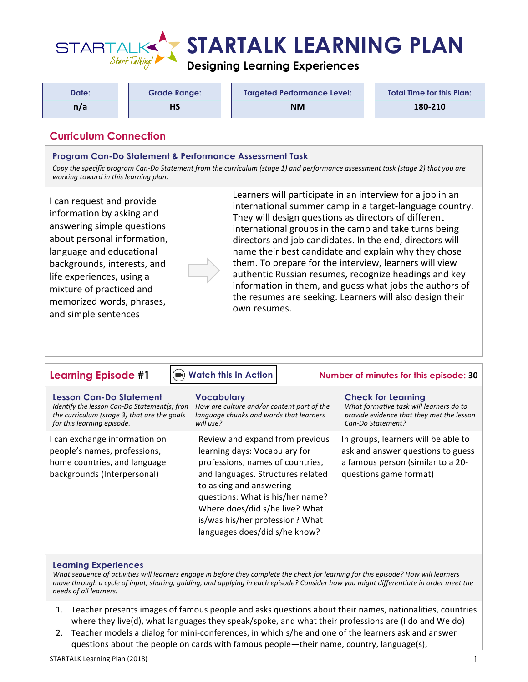

| Date: | <b>Grade Range:</b> | <b>Targeted Performance Level:</b> | <b>Total Time for this Plan:</b> |
|-------|---------------------|------------------------------------|----------------------------------|
| n/a   | HS                  | <b>NM</b>                          | 180-210                          |

# **Curriculum Connection**

### **Program Can-Do Statement & Performance Assessment Task**

Copy the specific program Can-Do Statement from the curriculum (stage 1) and performance assessment task (stage 2) that you are *working toward in this learning plan.* 

I can request and provide information by asking and answering simple questions about personal information, language and educational backgrounds, interests, and life experiences, using a mixture of practiced and memorized words, phrases, and simple sentences



Learners will participate in an interview for a job in an international summer camp in a target-language country. They will design questions as directors of different international groups in the camp and take turns being directors and job candidates. In the end, directors will name their best candidate and explain why they chose them. To prepare for the interview, learners will view authentic Russian resumes, recognize headings and key information in them, and guess what jobs the authors of the resumes are seeking. Learners will also design their own resumes.

## **[Watch this in Action](https://youtu.be/KCYaz2AVNzQ)**

**Lesson Can-Do Statement** *Identify the lesson Can-Do Statement(s) from the curriculum (stage 3) that are the goals for this learning episode.* **Vocabulary** *will use?*

I can exchange information on people's names, professions, home countries, and language backgrounds (Interpersonal)

*How are culture and/or content part of the language chunks and words that learners* 

Review and expand from previous learning days: Vocabulary for professions, names of countries, and languages. Structures related to asking and answering questions: What is his/her name? Where does/did s/he live? What is/was his/her profession? What languages does/did s/he know?

## **Learning Episode #1 Number of minutes for this episode: 30**

#### **Check for Learning**

*What formative task will learners do to provide evidence that they met the lesson Can-Do Statement?*

In groups, learners will be able to ask and answer questions to guess a famous person (similar to a 20questions game format)

#### **Learning Experiences**

What sequence of activities will learners engage in before they complete the check for learning for this episode? How will learners *move through a cycle of input, sharing, guiding, and applying in each episode? Consider how you might differentiate in order meet the needs of all learners.*

- 1. Teacher presents images of famous people and asks questions about their names, nationalities, countries where they live(d), what languages they speak/spoke, and what their professions are (I do and We do)
- 2. Teacher models a dialog for mini-conferences, in which s/he and one of the learners ask and answer questions about the people on cards with famous people—their name, country, language(s),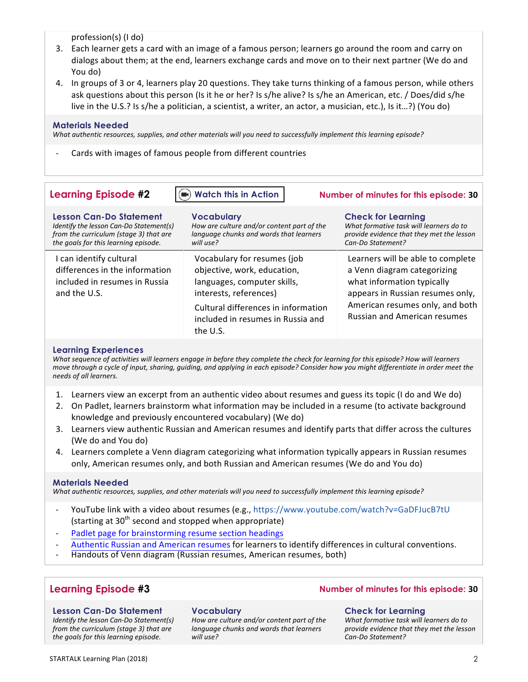profession(s) (I do)

- 3. Each learner gets a card with an image of a famous person; learners go around the room and carry on dialogs about them; at the end, learners exchange cards and move on to their next partner (We do and You do)
- 4. In groups of 3 or 4, learners play 20 questions. They take turns thinking of a famous person, while others ask questions about this person (Is it he or her? Is s/he alive? Is s/he an American, etc. / Does/did s/he live in the U.S.? Is s/he a politician, a scientist, a writer, an actor, a musician, etc.), Is it...?) (You do)

### **Materials Needed**

*What authentic resources, supplies, and other materials will you need to successfully implement this learning episode?* 

Cards with images of famous people from different countries

| <b>Learning Episode #2</b>                                                                                                                                  | $\left( \blacksquare \right)$ Watch this in Action                                                                                                                                                          | Number of minutes for this episode: 30                                                                                                                                                                       |
|-------------------------------------------------------------------------------------------------------------------------------------------------------------|-------------------------------------------------------------------------------------------------------------------------------------------------------------------------------------------------------------|--------------------------------------------------------------------------------------------------------------------------------------------------------------------------------------------------------------|
| <b>Lesson Can-Do Statement</b><br>Identify the lesson Can-Do Statement(s)<br>from the curriculum (stage 3) that are<br>the goals for this learning episode. | <b>Vocabulary</b><br>How are culture and/or content part of the<br>language chunks and words that learners<br>will use?                                                                                     | <b>Check for Learning</b><br>What formative task will learners do to<br>provide evidence that they met the lesson<br>Can-Do Statement?                                                                       |
| I can identify cultural<br>differences in the information<br>included in resumes in Russia<br>and the U.S.                                                  | Vocabulary for resumes (job<br>objective, work, education,<br>languages, computer skills,<br>interests, references)<br>Cultural differences in information<br>included in resumes in Russia and<br>the U.S. | Learners will be able to complete<br>a Venn diagram categorizing<br>what information typically<br>appears in Russian resumes only,<br>American resumes only, and both<br><b>Russian and American resumes</b> |

## **Learning Experiences**

What sequence of activities will learners engage in before they complete the check for learning for this episode? How will learners *move through a cycle of input, sharing, guiding, and applying in each episode? Consider how you might differentiate in order meet the needs of all learners.*

- 1. Learners view an excerpt from an authentic video about resumes and guess its topic (I do and We do)
- 2. On Padlet, learners brainstorm what information may be included in a resume (to activate background knowledge and previously encountered vocabulary) (We do)
- 3. Learners view authentic Russian and American resumes and identify parts that differ across the cultures (We do and You do)
- 4. Learners complete a Venn diagram categorizing what information typically appears in Russian resumes only, American resumes only, and both Russian and American resumes (We do and You do)

#### **Materials Needed**

What authentic resources, supplies, and other materials will you need to successfully implement this learning episode?

- YouTube link with a video about resumes (e.g., https://www.youtube.com/watch?v=GaDFJucB7tU (starting at  $30<sup>th</sup>$  second and stopped when appropriate)
- Padlet page for [brainstorming](https://startalk.umd.edu/public/system/files/resources/kent_russian2_h2_sectionheadings.docx) resume section headings
- [Authentic](https://startalk.umd.edu/public/system/files/resources/kent_russian2_h3_resumevsus.docx) Russian and American resumes for learners to identify differences in cultural conventions.
- Handouts of Venn diagram (Russian resumes, American resumes, both)

#### **Lesson Can-Do Statement**

*Identify the lesson Can-Do Statement(s) from the curriculum (stage 3) that are the goals for this learning episode.*

#### **Vocabulary**

How are culture and/or content part of the *language chunks and words that learners will use?*

## **Learning Episode #3 Number of minutes for this episode: 30**

#### **Check for Learning**

What formative task will learners do to *provide evidence that they met the lesson Can-Do Statement?*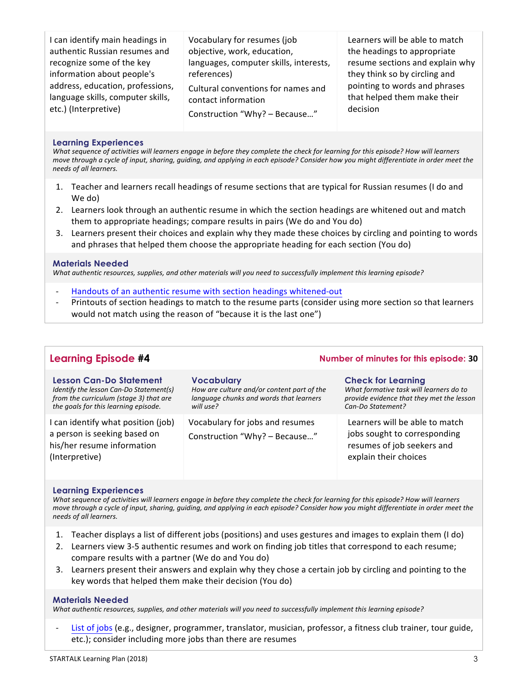| I can identify main headings in   | Vocabulary for resumes (job            | Learners will be able to match  |
|-----------------------------------|----------------------------------------|---------------------------------|
| authentic Russian resumes and     | objective, work, education,            | the headings to appropriate     |
| recognize some of the key         | languages, computer skills, interests, | resume sections and explain why |
| information about people's        | references)                            | they think so by circling and   |
| address, education, professions,  | Cultural conventions for names and     | pointing to words and phrases   |
| language skills, computer skills, | contact information                    | that helped them make their     |
| etc.) (Interpretive)              | Construction "Why? - Because"          | decision                        |

## **Learning Experiences**

*What sequence of activities will learners engage in before they complete the check for learning for this episode? How will learners move through a cycle of input, sharing, guiding, and applying in each episode? Consider how you might differentiate in order meet the needs of all learners.*

- 1. Teacher and learners recall headings of resume sections that are typical for Russian resumes (I do and We do)
- 2. Learners look through an authentic resume in which the section headings are whitened out and match them to appropriate headings; compare results in pairs (We do and You do)
- 3. Learners present their choices and explain why they made these choices by circling and pointing to words and phrases that helped them choose the appropriate heading for each section (You do)

#### **Materials Needed**

*What authentic resources, supplies, and other materials will you need to successfully implement this learning episode?* 

- Handouts of an authentic resume with section headings [whitened-out](https://startalk.umd.edu/public/system/files/resources/kent_russian2_h4_templaterussian.docx)
- Printouts of section headings to match to the resume parts (consider using more section so that learners would not match using the reason of "because it is the last one")

| <b>Learning Episode #4</b>                                                                                                                           | Number of minutes for this episode: 30                                                                                  |                                                                                                                                        |
|------------------------------------------------------------------------------------------------------------------------------------------------------|-------------------------------------------------------------------------------------------------------------------------|----------------------------------------------------------------------------------------------------------------------------------------|
| Lesson Can-Do Statement<br>Identify the lesson Can-Do Statement(s)<br>from the curriculum (stage 3) that are<br>the goals for this learning episode. | <b>Vocabulary</b><br>How are culture and/or content part of the<br>language chunks and words that learners<br>will use? | <b>Check for Learning</b><br>What formative task will learners do to<br>provide evidence that they met the lesson<br>Can-Do Statement? |
| I can identify what position (job)<br>a person is seeking based on<br>his/her resume information<br>(Interpretive)                                   | Vocabulary for jobs and resumes<br>Construction "Why? - Because"                                                        | Learners will be able to match<br>jobs sought to corresponding<br>resumes of job seekers and<br>explain their choices                  |

#### **Learning Experiences**

*What sequence of activities will learners engage in before they complete the check for learning for this episode? How will learners move through a cycle of input, sharing, quiding, and applying in each episode? Consider how you might differentiate in order meet the needs of all learners.*

- 1. Teacher displays a list of different jobs (positions) and uses gestures and images to explain them (I do)
- 2. Learners view 3-5 authentic resumes and work on finding job titles that correspond to each resume; compare results with a partner (We do and You do)
- 3. Learners present their answers and explain why they chose a certain job by circling and pointing to the key words that helped them make their decision (You do)

#### **Materials Needed**

*What authentic resources, supplies, and other materials will you need to successfully implement this learning episode?* 

List of [jobs](https://startalk.umd.edu/public/system/files/resources/kent_russian2_h1_Matchresumesjobs.docx) (e.g., designer, programmer, translator, musician, professor, a fitness club trainer, tour guide, etc.); consider including more jobs than there are resumes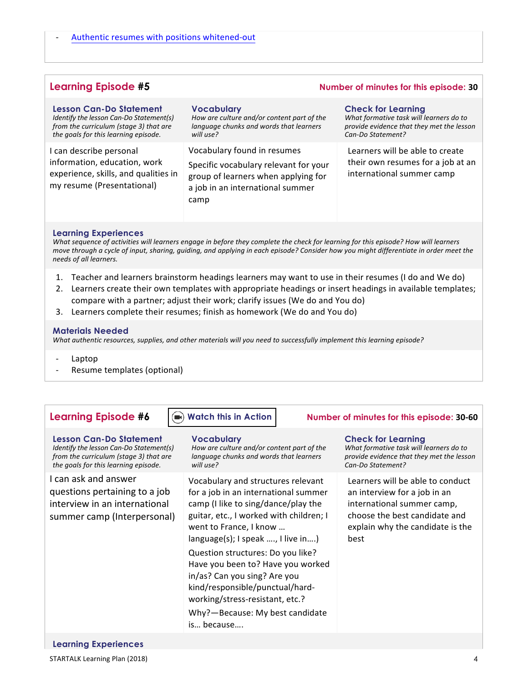## **Learning Episode #5 Number of minutes for this episode: 30**

| <b>Lesson Can-Do Statement</b>                                                                                                | <b>Vocabulary</b>                                                                                                                                       | <b>Check for Learning</b>                                                                         |
|-------------------------------------------------------------------------------------------------------------------------------|---------------------------------------------------------------------------------------------------------------------------------------------------------|---------------------------------------------------------------------------------------------------|
| Identify the lesson Can-Do Statement(s)                                                                                       | How are culture and/or content part of the                                                                                                              | What formative task will learners do to                                                           |
| from the curriculum (stage 3) that are                                                                                        | language chunks and words that learners                                                                                                                 | provide evidence that they met the lesson                                                         |
| the goals for this learning episode.                                                                                          | will use?                                                                                                                                               | Can-Do Statement?                                                                                 |
| I can describe personal<br>information, education, work<br>experience, skills, and qualities in<br>my resume (Presentational) | Vocabulary found in resumes<br>Specific vocabulary relevant for your<br>group of learners when applying for<br>a job in an international summer<br>camp | Learners will be able to create<br>their own resumes for a job at an<br>international summer camp |

#### **Learning Experiences**

*What sequence of activities will learners engage in before they complete the check for learning for this episode? How will learners move through a cycle of input, sharing, guiding, and applying in each episode? Consider how you might differentiate in order meet the needs of all learners.*

- 1. Teacher and learners brainstorm headings learners may want to use in their resumes (I do and We do)
- 2. Learners create their own templates with appropriate headings or insert headings in available templates; compare with a partner; adjust their work; clarify issues (We do and You do)
- 3. Learners complete their resumes; finish as homework (We do and You do)

#### **Materials Needed**

What authentic resources, supplies, and other materials will you need to successfully implement this learning episode?

- Laptop
- Resume templates (optional)

#### **[Watch this in Action](https://youtu.be/2HQzW67CBFA)**

## **Lesson Can-Do Statement**

*Identify the lesson Can-Do Statement(s) from the curriculum (stage 3) that are the goals for this learning episode.*

I can ask and answer questions pertaining to a job interview in an international summer camp (Interpersonal) **Vocabulary**

How are culture and/or content part of the language chunks and words that learners *will use?*

Vocabulary and structures relevant for a job in an international summer camp (I like to sing/dance/play the guitar, etc., I worked with children; I went to France, I know ... language(s); I speak ...., I live in....) Question structures: Do you like? Have you been to? Have you worked in/as? Can you sing? Are you kind/responsible/punctual/hardworking/stress-resistant, etc.? Why?-Because: My best candidate

is… because….

## **Learning Episode #6**  $\qquad \qquad (\bullet)$  Watch this in Action **Number of minutes for this episode: 30-60**

#### **Check for Learning**

*What formative task will learners do to provide evidence that they met the lesson Can-Do Statement?*

Learners will be able to conduct an interview for a job in an international summer camp, choose the best candidate and explain why the candidate is the best